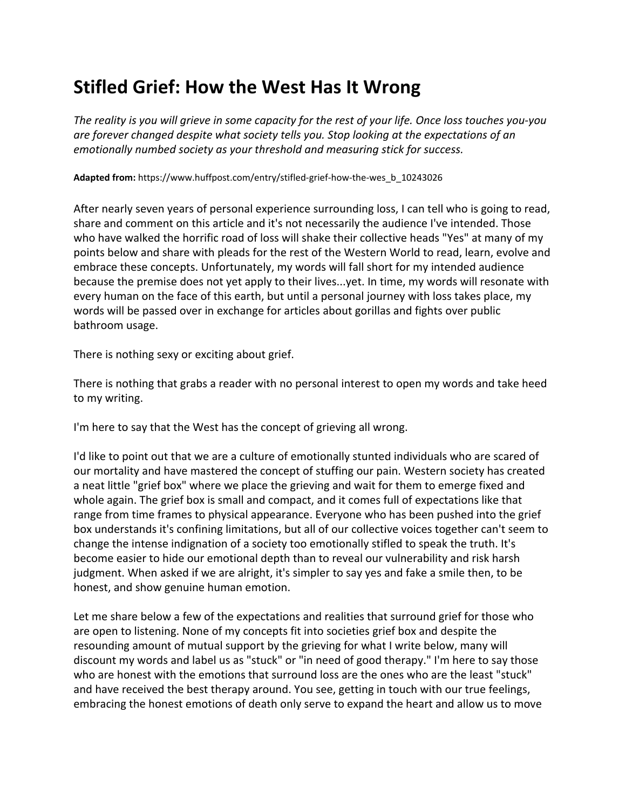## **Stifled Grief: How the West Has It Wrong**

*The reality is you will grieve in some capacity for the rest of your life. Once loss touches you-you are forever changed despite what society tells you. Stop looking at the expectations of an emotionally numbed society as your threshold and measuring stick for success.*

**Adapted from:** https://www.huffpost.com/entry/stifled-grief-how-the-wes\_b\_10243026

After nearly seven years of personal experience surrounding loss, I can tell who is going to read, share and comment on this article and it's not necessarily the audience I've intended. Those who have walked the horrific road of loss will shake their collective heads "Yes" at many of my points below and share with pleads for the rest of the Western World to read, learn, evolve and embrace these concepts. Unfortunately, my words will fall short for my intended audience because the premise does not yet apply to their lives...yet. In time, my words will resonate with every human on the face of this earth, but until a personal journey with loss takes place, my words will be passed over in exchange for articles about gorillas and fights over public bathroom usage.

There is nothing sexy or exciting about grief.

There is nothing that grabs a reader with no personal interest to open my words and take heed to my writing.

I'm here to say that the West has the concept of grieving all wrong.

I'd like to point out that we are a culture of emotionally stunted individuals who are scared of our mortality and have mastered the concept of stuffing our pain. Western society has created a neat little "grief box" where we place the grieving and wait for them to emerge fixed and whole again. The grief box is small and compact, and it comes full of expectations like that range from time frames to physical appearance. Everyone who has been pushed into the grief box understands it's confining limitations, but all of our collective voices together can't seem to change the intense indignation of a society too emotionally stifled to speak the truth. It's become easier to hide our emotional depth than to reveal our vulnerability and risk harsh judgment. When asked if we are alright, it's simpler to say yes and fake a smile then, to be honest, and show genuine human emotion.

Let me share below a few of the expectations and realities that surround grief for those who are open to listening. None of my concepts fit into societies grief box and despite the resounding amount of mutual support by the grieving for what I write below, many will discount my words and label us as "stuck" or "in need of good therapy." I'm here to say those who are honest with the emotions that surround loss are the ones who are the least "stuck" and have received the best therapy around. You see, getting in touch with our true feelings, embracing the honest emotions of death only serve to expand the heart and allow us to move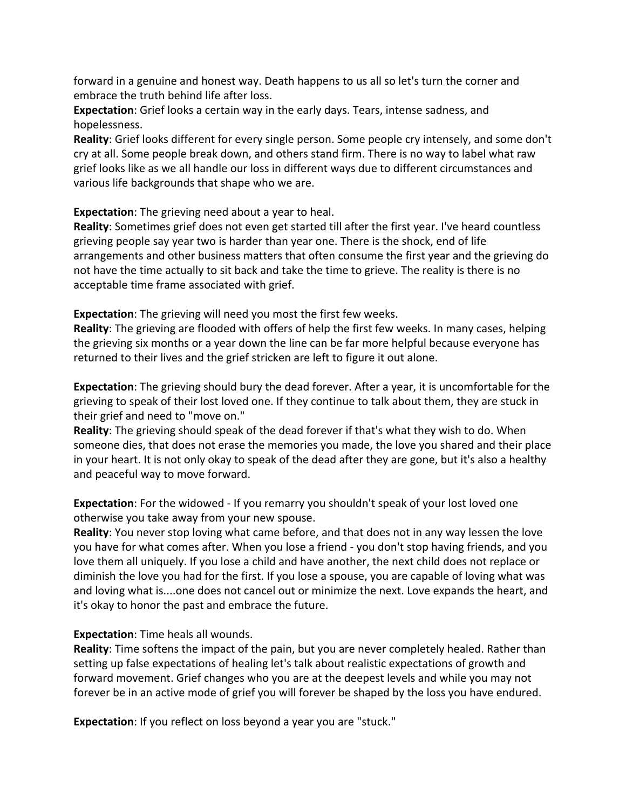forward in a genuine and honest way. Death happens to us all so let's turn the corner and embrace the truth behind life after loss.

**Expectation**: Grief looks a certain way in the early days. Tears, intense sadness, and hopelessness.

**Reality**: Grief looks different for every single person. Some people cry intensely, and some don't cry at all. Some people break down, and others stand firm. There is no way to label what raw grief looks like as we all handle our loss in different ways due to different circumstances and various life backgrounds that shape who we are.

**Expectation**: The grieving need about a year to heal.

**Reality**: Sometimes grief does not even get started till after the first year. I've heard countless grieving people say year two is harder than year one. There is the shock, end of life arrangements and other business matters that often consume the first year and the grieving do not have the time actually to sit back and take the time to grieve. The reality is there is no acceptable time frame associated with grief.

**Expectation**: The grieving will need you most the first few weeks.

**Reality**: The grieving are flooded with offers of help the first few weeks. In many cases, helping the grieving six months or a year down the line can be far more helpful because everyone has returned to their lives and the grief stricken are left to figure it out alone.

**Expectation**: The grieving should bury the dead forever. After a year, it is uncomfortable for the grieving to speak of their lost loved one. If they continue to talk about them, they are stuck in their grief and need to "move on."

**Reality**: The grieving should speak of the dead forever if that's what they wish to do. When someone dies, that does not erase the memories you made, the love you shared and their place in your heart. It is not only okay to speak of the dead after they are gone, but it's also a healthy and peaceful way to move forward.

**Expectation**: For the widowed - If you remarry you shouldn't speak of your lost loved one otherwise you take away from your new spouse.

**Reality**: You never stop loving what came before, and that does not in any way lessen the love you have for what comes after. When you lose a friend - you don't stop having friends, and you love them all uniquely. If you lose a child and have another, the next child does not replace or diminish the love you had for the first. If you lose a spouse, you are capable of loving what was and loving what is....one does not cancel out or minimize the next. Love expands the heart, and it's okay to honor the past and embrace the future.

**Expectation**: Time heals all wounds.

**Reality**: Time softens the impact of the pain, but you are never completely healed. Rather than setting up false expectations of healing let's talk about realistic expectations of growth and forward movement. Grief changes who you are at the deepest levels and while you may not forever be in an active mode of grief you will forever be shaped by the loss you have endured.

**Expectation**: If you reflect on loss beyond a year you are "stuck."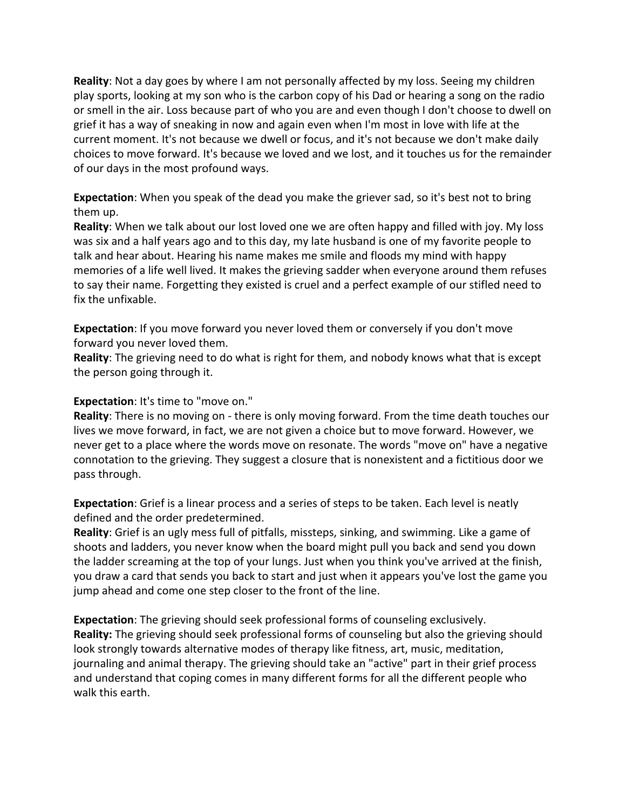**Reality**: Not a day goes by where I am not personally affected by my loss. Seeing my children play sports, looking at my son who is the carbon copy of his Dad or hearing a song on the radio or smell in the air. Loss because part of who you are and even though I don't choose to dwell on grief it has a way of sneaking in now and again even when I'm most in love with life at the current moment. It's not because we dwell or focus, and it's not because we don't make daily choices to move forward. It's because we loved and we lost, and it touches us for the remainder of our days in the most profound ways.

**Expectation**: When you speak of the dead you make the griever sad, so it's best not to bring them up.

**Reality**: When we talk about our lost loved one we are often happy and filled with joy. My loss was six and a half years ago and to this day, my late husband is one of my favorite people to talk and hear about. Hearing his name makes me smile and floods my mind with happy memories of a life well lived. It makes the grieving sadder when everyone around them refuses to say their name. Forgetting they existed is cruel and a perfect example of our stifled need to fix the unfixable.

**Expectation**: If you move forward you never loved them or conversely if you don't move forward you never loved them.

**Reality**: The grieving need to do what is right for them, and nobody knows what that is except the person going through it.

## **Expectation**: It's time to "move on."

**Reality**: There is no moving on - there is only moving forward. From the time death touches our lives we move forward, in fact, we are not given a choice but to move forward. However, we never get to a place where the words move on resonate. The words "move on" have a negative connotation to the grieving. They suggest a closure that is nonexistent and a fictitious door we pass through.

**Expectation**: Grief is a linear process and a series of steps to be taken. Each level is neatly defined and the order predetermined.

**Reality**: Grief is an ugly mess full of pitfalls, missteps, sinking, and swimming. Like a game of shoots and ladders, you never know when the board might pull you back and send you down the ladder screaming at the top of your lungs. Just when you think you've arrived at the finish, you draw a card that sends you back to start and just when it appears you've lost the game you jump ahead and come one step closer to the front of the line.

**Expectation**: The grieving should seek professional forms of counseling exclusively. **Reality:** The grieving should seek professional forms of counseling but also the grieving should look strongly towards alternative modes of therapy like fitness, art, music, meditation, journaling and animal therapy. The grieving should take an "active" part in their grief process and understand that coping comes in many different forms for all the different people who walk this earth.